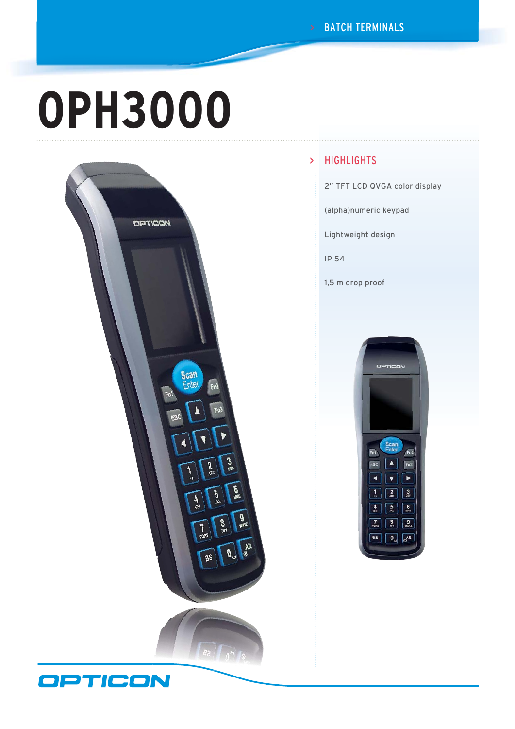# **OPH3000**



#### **HIGHLIGHTS** >

2" TFT LCD QVGA color display

(alpha)numeric keypad

Lightweight design

IP 54

1,5 m drop proof